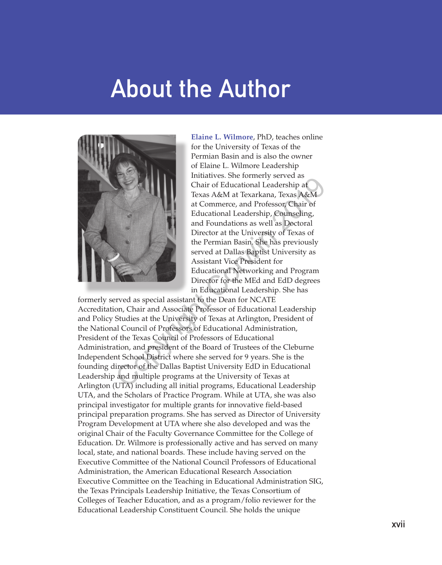## **About the Author**



**Elaine L. Wilmore**, PhD, teaches online for the University of Texas of the Permian Basin and is also the owner of Elaine L. Wilmore Leadership Initiatives. She formerly served as Chair of Educational Leadership at Texas A&M at Texarkana, Texas A&M at Commerce, and Professor, Chair of Educational Leadership, Counseling, and Foundations as well as Doctoral Director at the University of Texas of the Permian Basin. She has previously served at Dallas Baptist University as Assistant Vice President for Educational Networking and Program Director for the MEd and EdD degrees in Educational Leadership. She has

formerly served as special assistant to the Dean for NCATE Accreditation, Chair and Associate Professor of Educational Leadership and Policy Studies at the University of Texas at Arlington, President of the National Council of Professors of Educational Administration, President of the Texas Council of Professors of Educational Administration, and president of the Board of Trustees of the Cleburne Independent School District where she served for 9 years. She is the founding director of the Dallas Baptist University EdD in Educational Leadership and multiple programs at the University of Texas at Arlington (UTA) including all initial programs, Educational Leadership UTA, and the Scholars of Practice Program. While at UTA, she was also principal investigator for multiple grants for innovative field-based principal preparation programs. She has served as Director of University Program Development at UTA where she also developed and was the original Chair of the Faculty Governance Committee for the College of Education. Dr. Wilmore is professionally active and has served on many local, state, and national boards. These include having served on the Executive Committee of the National Council Professors of Educational Administration, the American Educational Research Association Executive Committee on the Teaching in Educational Administration SIG, the Texas Principals Leadership Initiative, the Texas Consortium of Colleges of Teacher Education, and as a program/folio reviewer for the Educational Leadership Constituent Council. She holds the unique Chair of Educational Leadership at<br>
Texas A&M at Texas A&M at Commerce, and Professor, Chair of<br>
Educational Leadership, Counseling,<br>
and Foundations as well as Dectoral<br>
Director at the University of Texas of<br>
the Permian